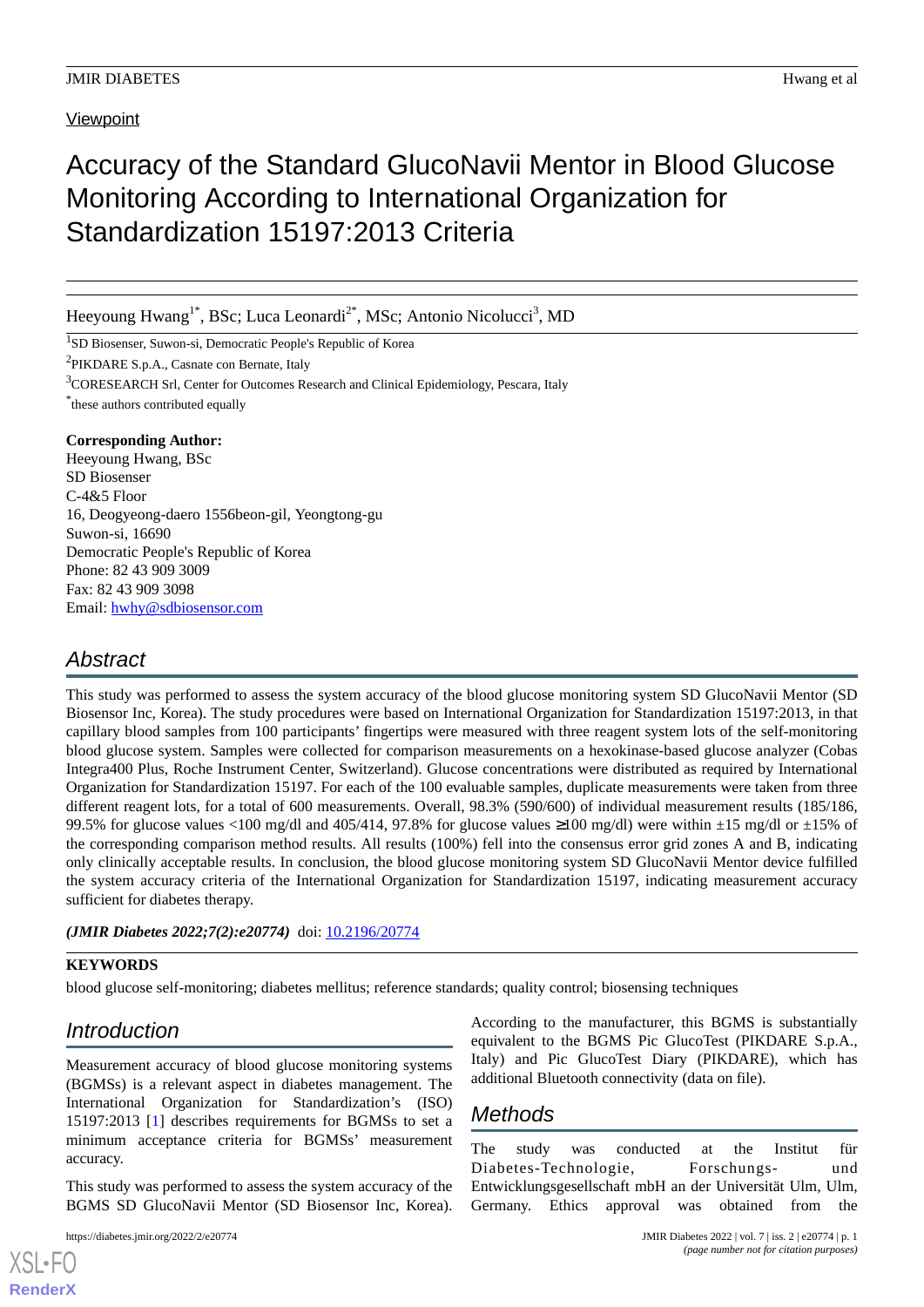# Accuracy of the Standard GlucoNavii Mentor in Blood Glucose Monitoring According to International Organization for Standardization 15197:2013 Criteria

Heeyoung Hwang<sup>1\*</sup>, BSc; Luca Leonardi<sup>2\*</sup>, MSc; Antonio Nicolucci<sup>3</sup>, MD

<sup>1</sup>SD Biosenser, Suwon-si, Democratic People's Republic of Korea

<sup>2</sup>PIKDARE S.p.A., Casnate con Bernate, Italy

<sup>3</sup>CORESEARCH Srl, Center for Outcomes Research and Clinical Epidemiology, Pescara, Italy \* these authors contributed equally

## **Corresponding Author:**

Heeyoung Hwang, BSc SD Biosenser C-4&5 Floor 16, Deogyeong-daero 1556beon-gil, Yeongtong-gu Suwon-si, 16690 Democratic People's Republic of Korea Phone: 82 43 909 3009 Fax: 82 43 909 3098 Email: [hwhy@sdbiosensor.com](mailto:hwhy@sdbiosensor.com)

# *Abstract*

This study was performed to assess the system accuracy of the blood glucose monitoring system SD GlucoNavii Mentor (SD Biosensor Inc, Korea). The study procedures were based on International Organization for Standardization 15197:2013, in that capillary blood samples from 100 participants' fingertips were measured with three reagent system lots of the self-monitoring blood glucose system. Samples were collected for comparison measurements on a hexokinase-based glucose analyzer (Cobas Integra400 Plus, Roche Instrument Center, Switzerland). Glucose concentrations were distributed as required by International Organization for Standardization 15197. For each of the 100 evaluable samples, duplicate measurements were taken from three different reagent lots, for a total of 600 measurements. Overall, 98.3% (590/600) of individual measurement results (185/186, 99.5% for glucose values <100 mg/dl and 405/414, 97.8% for glucose values ≥100 mg/dl) were within  $\pm 15$  mg/dl or  $\pm 15$ % of the corresponding comparison method results. All results (100%) fell into the consensus error grid zones A and B, indicating only clinically acceptable results. In conclusion, the blood glucose monitoring system SD GlucoNavii Mentor device fulfilled the system accuracy criteria of the International Organization for Standardization 15197, indicating measurement accuracy sufficient for diabetes therapy.

*(JMIR Diabetes 2022;7(2):e20774)* doi: [10.2196/20774](http://dx.doi.org/10.2196/20774)

## **KEYWORDS**

blood glucose self-monitoring; diabetes mellitus; reference standards; quality control; biosensing techniques

# *Introduction*

Measurement accuracy of blood glucose monitoring systems (BGMSs) is a relevant aspect in diabetes management. The International Organization for Standardization's (ISO) 15197:2013 [[1\]](#page-1-0) describes requirements for BGMSs to set a minimum acceptance criteria for BGMSs' measurement accuracy.

This study was performed to assess the system accuracy of the BGMS SD GlucoNavii Mentor (SD Biosensor Inc, Korea).

[XSL](http://www.w3.org/Style/XSL)•FO **[RenderX](http://www.renderx.com/)**

According to the manufacturer, this BGMS is substantially equivalent to the BGMS Pic GlucoTest (PIKDARE S.p.A., Italy) and Pic GlucoTest Diary (PIKDARE), which has additional Bluetooth connectivity (data on file).

# *Methods*

The study was conducted at the Institut für Diabetes-Technologie, Forschungs- und Entwicklungsgesellschaft mbH an der Universität Ulm, Ulm, Germany. Ethics approval was obtained from the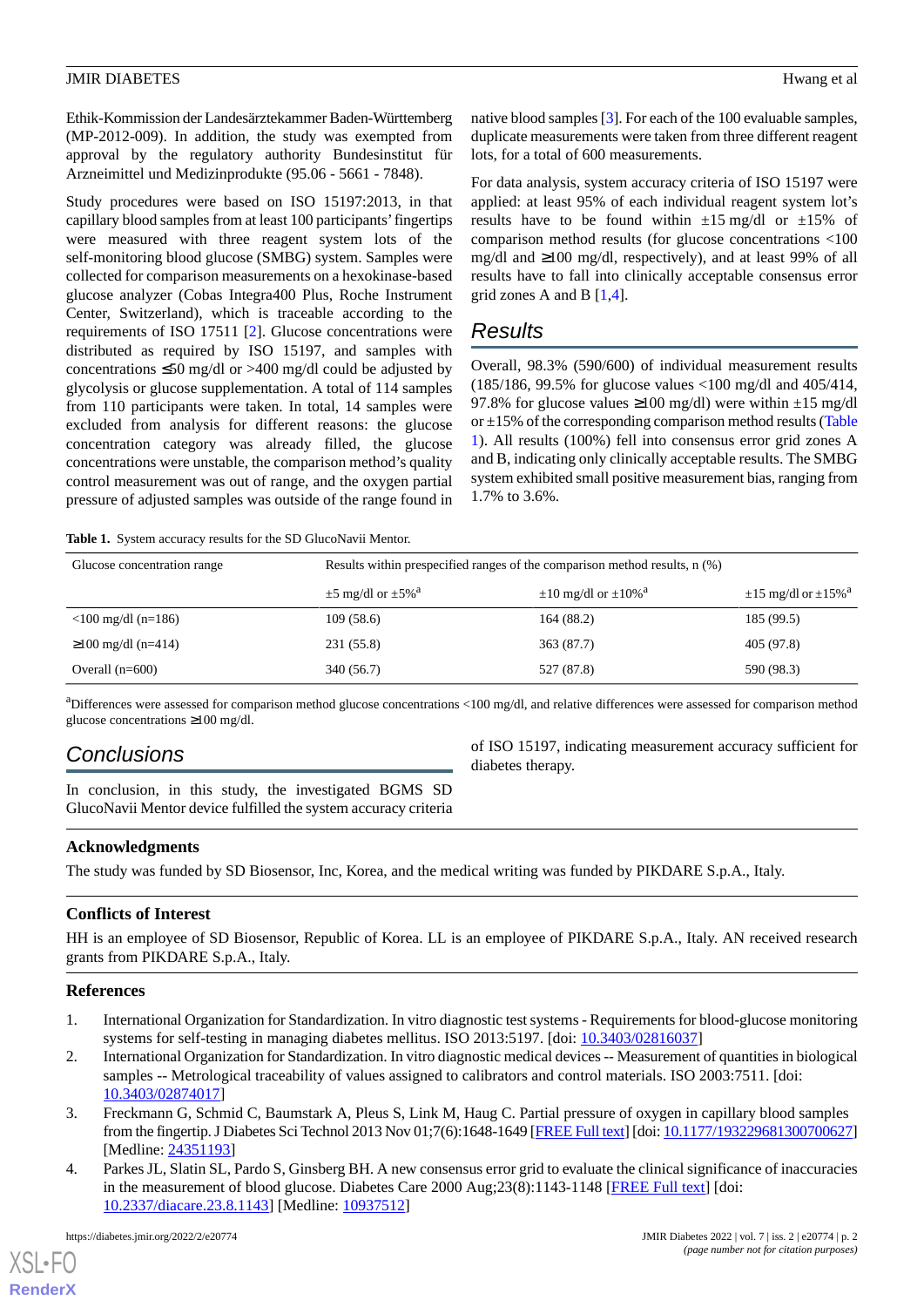#### **JMIR DIABETES** Hwang et al.

Ethik-Kommission der Landesärztekammer Baden-Württemberg (MP-2012-009). In addition, the study was exempted from approval by the regulatory authority Bundesinstitut für Arzneimittel und Medizinprodukte (95.06 - 5661 - 7848).

Study procedures were based on ISO 15197:2013, in that capillary blood samples from at least 100 participants'fingertips were measured with three reagent system lots of the self-monitoring blood glucose (SMBG) system. Samples were collected for comparison measurements on a hexokinase-based glucose analyzer (Cobas Integra400 Plus, Roche Instrument Center, Switzerland), which is traceable according to the requirements of ISO 17511 [\[2\]](#page-1-1). Glucose concentrations were distributed as required by ISO 15197, and samples with concentrations  $\leq 50$  mg/dl or  $>400$  mg/dl could be adjusted by glycolysis or glucose supplementation. A total of 114 samples from 110 participants were taken. In total, 14 samples were excluded from analysis for different reasons: the glucose concentration category was already filled, the glucose concentrations were unstable, the comparison method's quality control measurement was out of range, and the oxygen partial pressure of adjusted samples was outside of the range found in

native blood samples [\[3\]](#page-1-2). For each of the 100 evaluable samples, duplicate measurements were taken from three different reagent lots, for a total of 600 measurements.

For data analysis, system accuracy criteria of ISO 15197 were applied: at least 95% of each individual reagent system lot's results have to be found within  $\pm 15$  mg/dl or  $\pm 15$ % of comparison method results (for glucose concentrations <100 mg/dl and ≥100 mg/dl, respectively), and at least 99% of all results have to fall into clinically acceptable consensus error grid zones A and B  $[1,4]$  $[1,4]$  $[1,4]$  $[1,4]$ .

## *Results*

Overall, 98.3% (590/600) of individual measurement results (185/186, 99.5% for glucose values <100 mg/dl and 405/414, 97.8% for glucose values  $\geq 100$  mg/dl) were within  $\pm 15$  mg/dl or  $\pm 15\%$  of the corresponding comparison method results [\(Table](#page-1-4) [1\)](#page-1-4). All results (100%) fell into consensus error grid zones A and B, indicating only clinically acceptable results. The SMBG system exhibited small positive measurement bias, ranging from 1.7% to 3.6%.

<span id="page-1-4"></span>**Table 1.** System accuracy results for the SD GlucoNavii Mentor.

| Glucose concentration range                 | Results within prespecified ranges of the comparison method results, $n$ (%) |                                           |                                           |
|---------------------------------------------|------------------------------------------------------------------------------|-------------------------------------------|-------------------------------------------|
|                                             | $\pm$ 5 mg/dl or $\pm$ 5% <sup>a</sup>                                       | $\pm 10$ mg/dl or $\pm 10\%$ <sup>a</sup> | $\pm 15$ mg/dl or $\pm 15\%$ <sup>a</sup> |
| $\langle 100 \text{ mg/dl} \rangle (n=186)$ | 109(58.6)                                                                    | 164 (88.2)                                | 185 (99.5)                                |
| $\geq$ 100 mg/dl (n=414)                    | 231 (55.8)                                                                   | 363 (87.7)                                | 405 (97.8)                                |
| Overall $(n=600)$                           | 340 (56.7)                                                                   | 527 (87.8)                                | 590 (98.3)                                |

 $a<sup>a</sup>$ Differences were assessed for comparison method glucose concentrations <100 mg/dl, and relative differences were assessed for comparison method glucose concentrations ≥100 mg/dl.

## *Conclusions*

In conclusion, in this study, the investigated BGMS SD GlucoNavii Mentor device fulfilled the system accuracy criteria of ISO 15197, indicating measurement accuracy sufficient for diabetes therapy.

## **Acknowledgments**

The study was funded by SD Biosensor, Inc, Korea, and the medical writing was funded by PIKDARE S.p.A., Italy.

## <span id="page-1-0"></span>**Conflicts of Interest**

<span id="page-1-1"></span>HH is an employee of SD Biosensor, Republic of Korea. LL is an employee of PIKDARE S.p.A., Italy. AN received research grants from PIKDARE S.p.A., Italy.

### <span id="page-1-2"></span>**References**

- 1. International Organization for Standardization. In vitro diagnostic test systems Requirements for blood-glucose monitoring systems for self-testing in managing diabetes mellitus. ISO 2013:5197. [doi: [10.3403/02816037\]](http://dx.doi.org/10.3403/02816037)
- <span id="page-1-3"></span>2. International Organization for Standardization. In vitro diagnostic medical devices -- Measurement of quantities in biological samples -- Metrological traceability of values assigned to calibrators and control materials. ISO 2003:7511. [doi: [10.3403/02874017\]](http://dx.doi.org/10.3403/02874017)
- 3. Freckmann G, Schmid C, Baumstark A, Pleus S, Link M, Haug C. Partial pressure of oxygen in capillary blood samples from the fingertip. J Diabetes Sci Technol 2013 Nov 01;7(6):1648-1649 [\[FREE Full text](http://europepmc.org/abstract/MED/24351193)] [doi: [10.1177/193229681300700627](http://dx.doi.org/10.1177/193229681300700627)] [Medline: [24351193](http://www.ncbi.nlm.nih.gov/entrez/query.fcgi?cmd=Retrieve&db=PubMed&list_uids=24351193&dopt=Abstract)]
- 4. Parkes JL, Slatin SL, Pardo S, Ginsberg BH. A new consensus error grid to evaluate the clinical significance of inaccuracies in the measurement of blood glucose. Diabetes Care 2000 Aug;23(8):1143-1148 [[FREE Full text](http://care.diabetesjournals.org/cgi/pmidlookup?view=long&pmid=10937512)] [doi: [10.2337/diacare.23.8.1143](http://dx.doi.org/10.2337/diacare.23.8.1143)] [Medline: [10937512\]](http://www.ncbi.nlm.nih.gov/entrez/query.fcgi?cmd=Retrieve&db=PubMed&list_uids=10937512&dopt=Abstract)

[XSL](http://www.w3.org/Style/XSL)•FO **[RenderX](http://www.renderx.com/)**